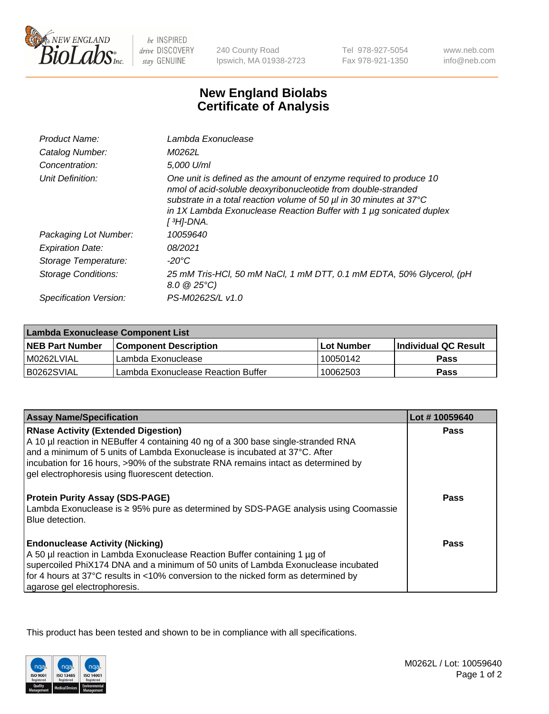

be INSPIRED drive DISCOVERY stay GENUINE

240 County Road Ipswich, MA 01938-2723

Tel 978-927-5054 Fax 978-921-1350

www.neb.com info@neb.com

## **New England Biolabs Certificate of Analysis**

| Product Name:           | Lambda Exonuclease                                                                                                                                                                                                                                                                                   |
|-------------------------|------------------------------------------------------------------------------------------------------------------------------------------------------------------------------------------------------------------------------------------------------------------------------------------------------|
| Catalog Number:         | M0262L                                                                                                                                                                                                                                                                                               |
| Concentration:          | 5,000 U/ml                                                                                                                                                                                                                                                                                           |
| Unit Definition:        | One unit is defined as the amount of enzyme required to produce 10<br>nmol of acid-soluble deoxyribonucleotide from double-stranded<br>substrate in a total reaction volume of 50 µl in 30 minutes at 37°C<br>in 1X Lambda Exonuclease Reaction Buffer with 1 $\mu$ g sonicated duplex<br>[ 3H]-DNA. |
| Packaging Lot Number:   | 10059640                                                                                                                                                                                                                                                                                             |
| <b>Expiration Date:</b> | 08/2021                                                                                                                                                                                                                                                                                              |
| Storage Temperature:    | $-20^{\circ}$ C                                                                                                                                                                                                                                                                                      |
| Storage Conditions:     | 25 mM Tris-HCl, 50 mM NaCl, 1 mM DTT, 0.1 mM EDTA, 50% Glycerol, (pH<br>$8.0 \ @ 25^{\circ}C$                                                                                                                                                                                                        |
| Specification Version:  | PS-M0262S/L v1.0                                                                                                                                                                                                                                                                                     |

| Lambda Exonuclease Component List |                                    |                   |                             |  |
|-----------------------------------|------------------------------------|-------------------|-----------------------------|--|
| <b>NEB Part Number</b>            | <b>Component Description</b>       | <b>Lot Number</b> | <b>Individual QC Result</b> |  |
| IM0262LVIAL                       | Lambda Exonuclease                 | 10050142          | <b>Pass</b>                 |  |
| IB0262SVIAL                       | Lambda Exonuclease Reaction Buffer | 10062503          | Pass                        |  |

| <b>Assay Name/Specification</b>                                                                                                                                                                                                                                                                                                | Lot #10059640 |
|--------------------------------------------------------------------------------------------------------------------------------------------------------------------------------------------------------------------------------------------------------------------------------------------------------------------------------|---------------|
| <b>RNase Activity (Extended Digestion)</b><br>A 10 µl reaction in NEBuffer 4 containing 40 ng of a 300 base single-stranded RNA<br>and a minimum of 5 units of Lambda Exonuclease is incubated at 37°C. After                                                                                                                  | <b>Pass</b>   |
| incubation for 16 hours, >90% of the substrate RNA remains intact as determined by<br>gel electrophoresis using fluorescent detection.                                                                                                                                                                                         |               |
| <b>Protein Purity Assay (SDS-PAGE)</b><br>Lambda Exonuclease is ≥ 95% pure as determined by SDS-PAGE analysis using Coomassie<br>Blue detection.                                                                                                                                                                               | Pass          |
| <b>Endonuclease Activity (Nicking)</b><br>A 50 µl reaction in Lambda Exonuclease Reaction Buffer containing 1 µg of<br>supercoiled PhiX174 DNA and a minimum of 50 units of Lambda Exonuclease incubated<br>for 4 hours at 37°C results in <10% conversion to the nicked form as determined by<br>agarose gel electrophoresis. | <b>Pass</b>   |

This product has been tested and shown to be in compliance with all specifications.